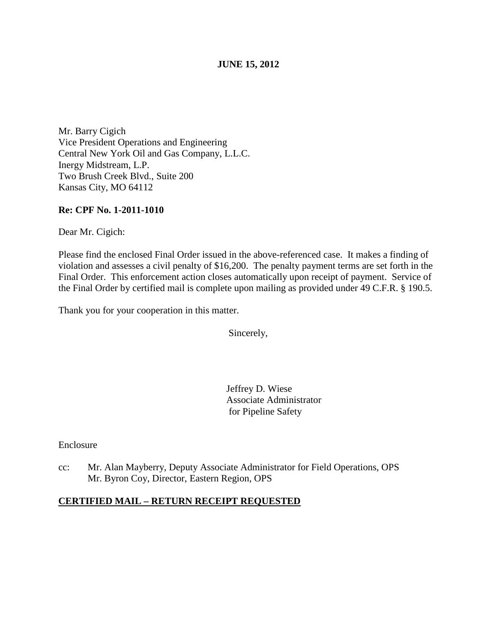## **JUNE 15, 2012**

Mr. Barry Cigich Vice President Operations and Engineering Central New York Oil and Gas Company, L.L.C. Inergy Midstream, L.P. Two Brush Creek Blvd., Suite 200 Kansas City, MO 64112

## **Re: CPF No. 1-2011-1010**

Dear Mr. Cigich:

Please find the enclosed Final Order issued in the above-referenced case. It makes a finding of violation and assesses a civil penalty of \$16,200. The penalty payment terms are set forth in the Final Order. This enforcement action closes automatically upon receipt of payment. Service of the Final Order by certified mail is complete upon mailing as provided under 49 C.F.R. § 190.5.

Thank you for your cooperation in this matter.

Sincerely,

 Jeffrey D. Wiese Associate Administrator for Pipeline Safety

Enclosure

cc: Mr. Alan Mayberry, Deputy Associate Administrator for Field Operations, OPS Mr. Byron Coy, Director, Eastern Region, OPS

## **CERTIFIED MAIL – RETURN RECEIPT REQUESTED**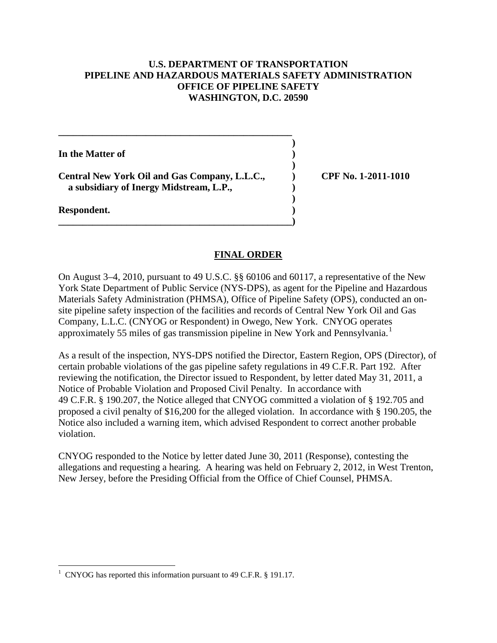## **U.S. DEPARTMENT OF TRANSPORTATION PIPELINE AND HAZARDOUS MATERIALS SAFETY ADMINISTRATION OFFICE OF PIPELINE SAFETY WASHINGTON, D.C. 20590**

**)**

**)**

**)**

**In the Matter of )**

**Central New York Oil and Gas Company, L.L.C., ) CPF No. 1-2011-1010 a subsidiary of Inergy Midstream, L.P., )**

**\_\_\_\_\_\_\_\_\_\_\_\_\_\_\_\_\_\_\_\_\_\_\_\_\_\_\_\_\_\_\_\_\_\_\_\_\_\_\_\_\_\_\_\_\_\_\_\_**

**\_\_\_\_\_\_\_\_\_\_\_\_\_\_\_\_\_\_\_\_\_\_\_\_\_\_\_\_\_\_\_\_\_\_\_\_\_\_\_\_\_\_\_\_\_\_\_\_)**

**Respondent. )**

# **FINAL ORDER**

On August 3–4, 2010, pursuant to 49 U.S.C. §§ 60106 and 60117, a representative of the New York State Department of Public Service (NYS-DPS), as agent for the Pipeline and Hazardous Materials Safety Administration (PHMSA), Office of Pipeline Safety (OPS), conducted an onsite pipeline safety inspection of the facilities and records of Central New York Oil and Gas Company, L.L.C. (CNYOG or Respondent) in Owego, New York. CNYOG operates approximately 55 miles of gas transmission pipeline in New York and Pennsylvania. [1](#page-1-0)

As a result of the inspection, NYS-DPS notified the Director, Eastern Region, OPS (Director), of certain probable violations of the gas pipeline safety regulations in 49 C.F.R. Part 192. After reviewing the notification, the Director issued to Respondent, by letter dated May 31, 2011, a Notice of Probable Violation and Proposed Civil Penalty. In accordance with 49 C.F.R. § 190.207, the Notice alleged that CNYOG committed a violation of § 192.705 and proposed a civil penalty of \$16,200 for the alleged violation. In accordance with § 190.205, the Notice also included a warning item, which advised Respondent to correct another probable violation.

CNYOG responded to the Notice by letter dated June 30, 2011 (Response), contesting the allegations and requesting a hearing. A hearing was held on February 2, 2012, in West Trenton, New Jersey, before the Presiding Official from the Office of Chief Counsel, PHMSA.

<span id="page-1-0"></span> $\frac{1}{1}$ <sup>1</sup> CNYOG has reported this information pursuant to 49 C.F.R. § 191.17.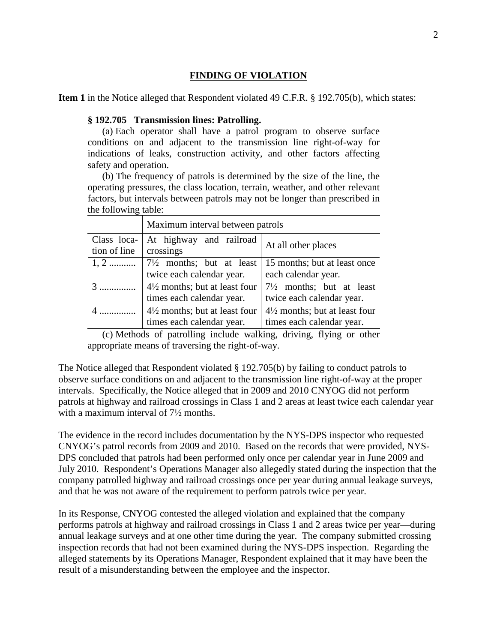## **FINDING OF VIOLATION**

**Item 1** in the Notice alleged that Respondent violated 49 C.F.R. § 192.705(b), which states:

#### **§ 192.705 Transmission lines: Patrolling.**

(a) Each operator shall have a patrol program to observe surface conditions on and adjacent to the transmission line right-of-way for indications of leaks, construction activity, and other factors affecting safety and operation.

(b) The frequency of patrols is determined by the size of the line, the operating pressures, the class location, terrain, weather, and other relevant factors, but intervals between patrols may not be longer than prescribed in the following table:

|                             | Maximum interval between patrols                                      |                                                                       |
|-----------------------------|-----------------------------------------------------------------------|-----------------------------------------------------------------------|
| Class loca-<br>tion of line | At highway and railroad<br>crossings                                  | At all other places                                                   |
| $1, 2$                      | $7\frac{1}{2}$ months; but at least                                   | 15 months; but at least once                                          |
|                             | twice each calendar year.                                             | each calendar year.                                                   |
| $3$                         | $4\frac{1}{2}$ months; but at least four<br>times each calendar year. | $7\frac{1}{2}$ months; but at least<br>twice each calendar year.      |
|                             | $4\frac{1}{2}$ months; but at least four<br>times each calendar year. | $4\frac{1}{2}$ months; but at least four<br>times each calendar year. |

(c) Methods of patrolling include walking, driving, flying or other appropriate means of traversing the right-of-way.

The Notice alleged that Respondent violated § 192.705(b) by failing to conduct patrols to observe surface conditions on and adjacent to the transmission line right-of-way at the proper intervals. Specifically, the Notice alleged that in 2009 and 2010 CNYOG did not perform patrols at highway and railroad crossings in Class 1 and 2 areas at least twice each calendar year with a maximum interval of  $7\frac{1}{2}$  months.

The evidence in the record includes documentation by the NYS-DPS inspector who requested CNYOG's patrol records from 2009 and 2010. Based on the records that were provided, NYS-DPS concluded that patrols had been performed only once per calendar year in June 2009 and July 2010. Respondent's Operations Manager also allegedly stated during the inspection that the company patrolled highway and railroad crossings once per year during annual leakage surveys, and that he was not aware of the requirement to perform patrols twice per year.

In its Response, CNYOG contested the alleged violation and explained that the company performs patrols at highway and railroad crossings in Class 1 and 2 areas twice per year—during annual leakage surveys and at one other time during the year. The company submitted crossing inspection records that had not been examined during the NYS-DPS inspection. Regarding the alleged statements by its Operations Manager, Respondent explained that it may have been the result of a misunderstanding between the employee and the inspector.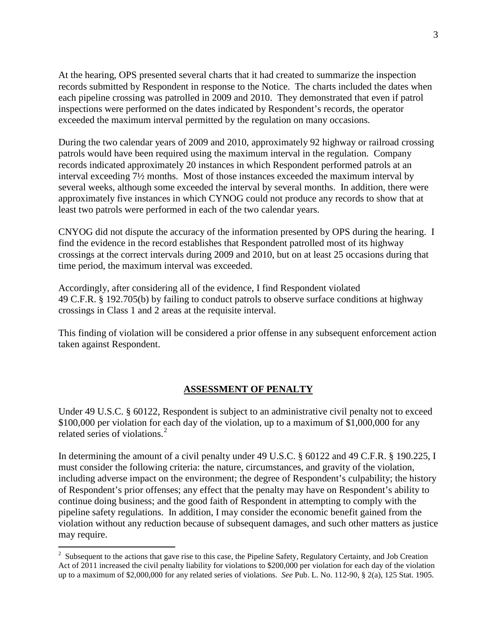At the hearing, OPS presented several charts that it had created to summarize the inspection records submitted by Respondent in response to the Notice. The charts included the dates when each pipeline crossing was patrolled in 2009 and 2010. They demonstrated that even if patrol inspections were performed on the dates indicated by Respondent's records, the operator exceeded the maximum interval permitted by the regulation on many occasions.

During the two calendar years of 2009 and 2010, approximately 92 highway or railroad crossing patrols would have been required using the maximum interval in the regulation. Company records indicated approximately 20 instances in which Respondent performed patrols at an interval exceeding 7½ months. Most of those instances exceeded the maximum interval by several weeks, although some exceeded the interval by several months. In addition, there were approximately five instances in which CYNOG could not produce any records to show that at least two patrols were performed in each of the two calendar years.

CNYOG did not dispute the accuracy of the information presented by OPS during the hearing. I find the evidence in the record establishes that Respondent patrolled most of its highway crossings at the correct intervals during 2009 and 2010, but on at least 25 occasions during that time period, the maximum interval was exceeded.

Accordingly, after considering all of the evidence, I find Respondent violated 49 C.F.R. § 192.705(b) by failing to conduct patrols to observe surface conditions at highway crossings in Class 1 and 2 areas at the requisite interval.

This finding of violation will be considered a prior offense in any subsequent enforcement action taken against Respondent.

## **ASSESSMENT OF PENALTY**

Under 49 U.S.C. § 60122, Respondent is subject to an administrative civil penalty not to exceed \$100,000 per violation for each day of the violation, up to a maximum of \$1,000,000 for any related series of violations.<sup>[2](#page-3-0)</sup>

In determining the amount of a civil penalty under 49 U.S.C. § 60122 and 49 C.F.R. § 190.225, I must consider the following criteria: the nature, circumstances, and gravity of the violation, including adverse impact on the environment; the degree of Respondent's culpability; the history of Respondent's prior offenses; any effect that the penalty may have on Respondent's ability to continue doing business; and the good faith of Respondent in attempting to comply with the pipeline safety regulations. In addition, I may consider the economic benefit gained from the violation without any reduction because of subsequent damages, and such other matters as justice may require.

<span id="page-3-0"></span> $\frac{1}{2}$ <sup>2</sup> Subsequent to the actions that gave rise to this case, the Pipeline Safety, Regulatory Certainty, and Job Creation Act of 2011 increased the civil penalty liability for violations to \$200,000 per violation for each day of the violation up to a maximum of \$2,000,000 for any related series of violations. *See* Pub. L. No. 112-90, § 2(a), 125 Stat. 1905.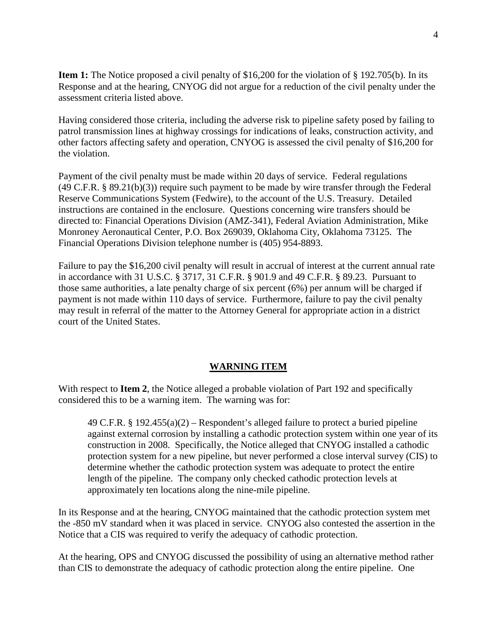**Item 1:** The Notice proposed a civil penalty of \$16,200 for the violation of § 192.705(b). In its Response and at the hearing, CNYOG did not argue for a reduction of the civil penalty under the assessment criteria listed above.

Having considered those criteria, including the adverse risk to pipeline safety posed by failing to patrol transmission lines at highway crossings for indications of leaks, construction activity, and other factors affecting safety and operation, CNYOG is assessed the civil penalty of \$16,200 for the violation.

Payment of the civil penalty must be made within 20 days of service. Federal regulations  $(49 \text{ C.F.R. } § 89.21(b)(3))$  require such payment to be made by wire transfer through the Federal Reserve Communications System (Fedwire), to the account of the U.S. Treasury. Detailed instructions are contained in the enclosure. Questions concerning wire transfers should be directed to: Financial Operations Division (AMZ-341), Federal Aviation Administration, Mike Monroney Aeronautical Center, P.O. Box 269039, Oklahoma City, Oklahoma 73125. The Financial Operations Division telephone number is (405) 954-8893.

Failure to pay the \$16,200 civil penalty will result in accrual of interest at the current annual rate in accordance with 31 U.S.C. § 3717, 31 C.F.R. § 901.9 and 49 C.F.R. § 89.23. Pursuant to those same authorities, a late penalty charge of six percent (6%) per annum will be charged if payment is not made within 110 days of service. Furthermore, failure to pay the civil penalty may result in referral of the matter to the Attorney General for appropriate action in a district court of the United States.

## **WARNING ITEM**

With respect to **Item 2**, the Notice alleged a probable violation of Part 192 and specifically considered this to be a warning item. The warning was for:

49 C.F.R. § 192.455(a)(2) – Respondent's alleged failure to protect a buried pipeline against external corrosion by installing a cathodic protection system within one year of its construction in 2008. Specifically, the Notice alleged that CNYOG installed a cathodic protection system for a new pipeline, but never performed a close interval survey (CIS) to determine whether the cathodic protection system was adequate to protect the entire length of the pipeline. The company only checked cathodic protection levels at approximately ten locations along the nine-mile pipeline.

In its Response and at the hearing, CNYOG maintained that the cathodic protection system met the -850 mV standard when it was placed in service. CNYOG also contested the assertion in the Notice that a CIS was required to verify the adequacy of cathodic protection.

At the hearing, OPS and CNYOG discussed the possibility of using an alternative method rather than CIS to demonstrate the adequacy of cathodic protection along the entire pipeline. One